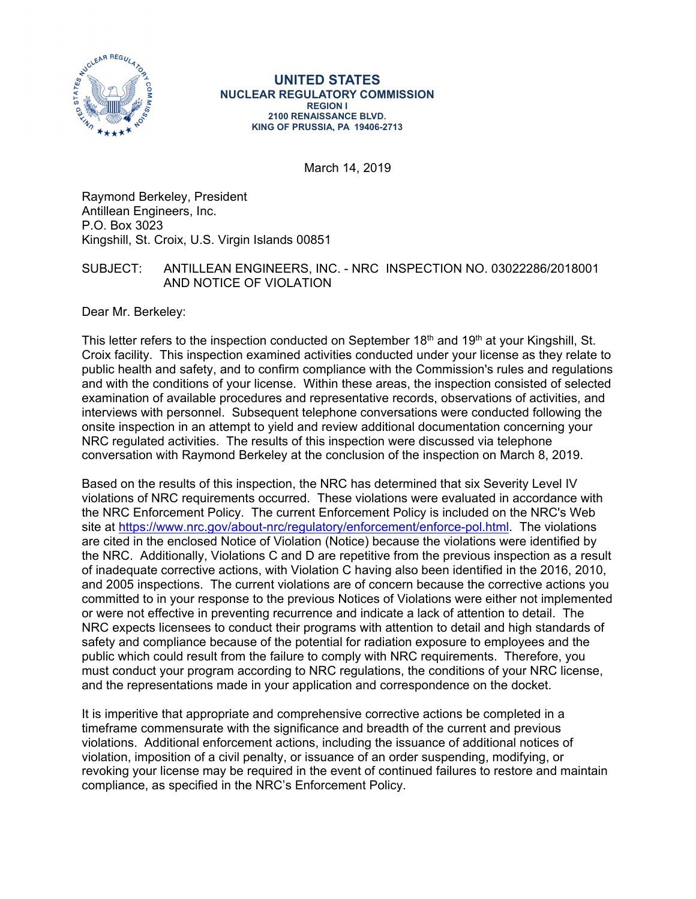

#### **UNITED STATES NUCLEAR REGULATORY COMMISSION REGION I 2100 RENAISSANCE BLVD. KING OF PRUSSIA, PA 19406-2713**

March 14, 2019

Raymond Berkeley, President Antillean Engineers, Inc. P.O. Box 3023 Kingshill, St. Croix, U.S. Virgin Islands 00851

## SUBJECT: ANTILLEAN ENGINEERS, INC. - NRC INSPECTION NO. 03022286/2018001 AND NOTICE OF VIOLATION

Dear Mr. Berkeley:

This letter refers to the inspection conducted on September 18<sup>th</sup> and 19<sup>th</sup> at your Kingshill, St. Croix facility. This inspection examined activities conducted under your license as they relate to public health and safety, and to confirm compliance with the Commission's rules and regulations and with the conditions of your license. Within these areas, the inspection consisted of selected examination of available procedures and representative records, observations of activities, and interviews with personnel. Subsequent telephone conversations were conducted following the onsite inspection in an attempt to yield and review additional documentation concerning your NRC regulated activities. The results of this inspection were discussed via telephone conversation with Raymond Berkeley at the conclusion of the inspection on March 8, 2019.

Based on the results of this inspection, the NRC has determined that six Severity Level IV violations of NRC requirements occurred. These violations were evaluated in accordance with the NRC Enforcement Policy. The current Enforcement Policy is included on the NRC's Web site at https://www.nrc.gov/about-nrc/regulatory/enforcement/enforce-pol.html. The violations are cited in the enclosed Notice of Violation (Notice) because the violations were identified by the NRC. Additionally, Violations C and D are repetitive from the previous inspection as a result of inadequate corrective actions, with Violation C having also been identified in the 2016, 2010, and 2005 inspections. The current violations are of concern because the corrective actions you committed to in your response to the previous Notices of Violations were either not implemented or were not effective in preventing recurrence and indicate a lack of attention to detail. The NRC expects licensees to conduct their programs with attention to detail and high standards of safety and compliance because of the potential for radiation exposure to employees and the public which could result from the failure to comply with NRC requirements. Therefore, you must conduct your program according to NRC regulations, the conditions of your NRC license, and the representations made in your application and correspondence on the docket.

It is imperitive that appropriate and comprehensive corrective actions be completed in a timeframe commensurate with the significance and breadth of the current and previous violations. Additional enforcement actions, including the issuance of additional notices of violation, imposition of a civil penalty, or issuance of an order suspending, modifying, or revoking your license may be required in the event of continued failures to restore and maintain compliance, as specified in the NRC's Enforcement Policy.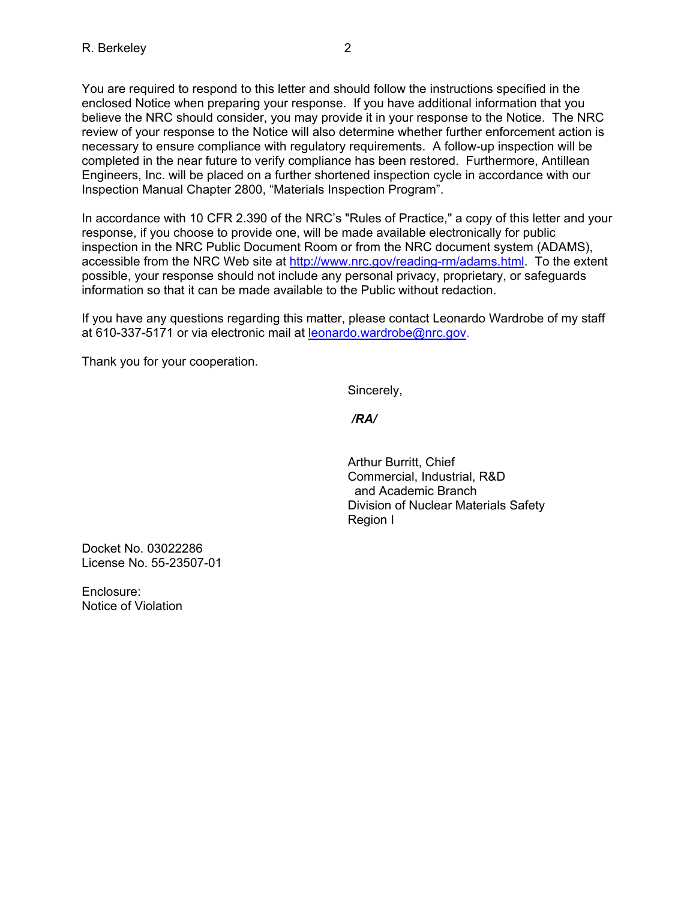You are required to respond to this letter and should follow the instructions specified in the enclosed Notice when preparing your response. If you have additional information that you believe the NRC should consider, you may provide it in your response to the Notice. The NRC review of your response to the Notice will also determine whether further enforcement action is necessary to ensure compliance with regulatory requirements. A follow-up inspection will be completed in the near future to verify compliance has been restored. Furthermore, Antillean Engineers, Inc. will be placed on a further shortened inspection cycle in accordance with our Inspection Manual Chapter 2800, "Materials Inspection Program".

In accordance with 10 CFR 2.390 of the NRC's "Rules of Practice," a copy of this letter and your response, if you choose to provide one, will be made available electronically for public inspection in the NRC Public Document Room or from the NRC document system (ADAMS), accessible from the NRC Web site at http://www.nrc.gov/reading-rm/adams.html. To the extent possible, your response should not include any personal privacy, proprietary, or safeguards information so that it can be made available to the Public without redaction.

If you have any questions regarding this matter, please contact Leonardo Wardrobe of my staff at 610-337-5171 or via electronic mail at leonardo.wardrobe@nrc.gov.

Thank you for your cooperation.

Sincerely,

*/RA/* 

Arthur Burritt, Chief Commercial, Industrial, R&D and Academic Branch Division of Nuclear Materials Safety Region I

Docket No. 03022286 License No. 55-23507-01

Enclosure: Notice of Violation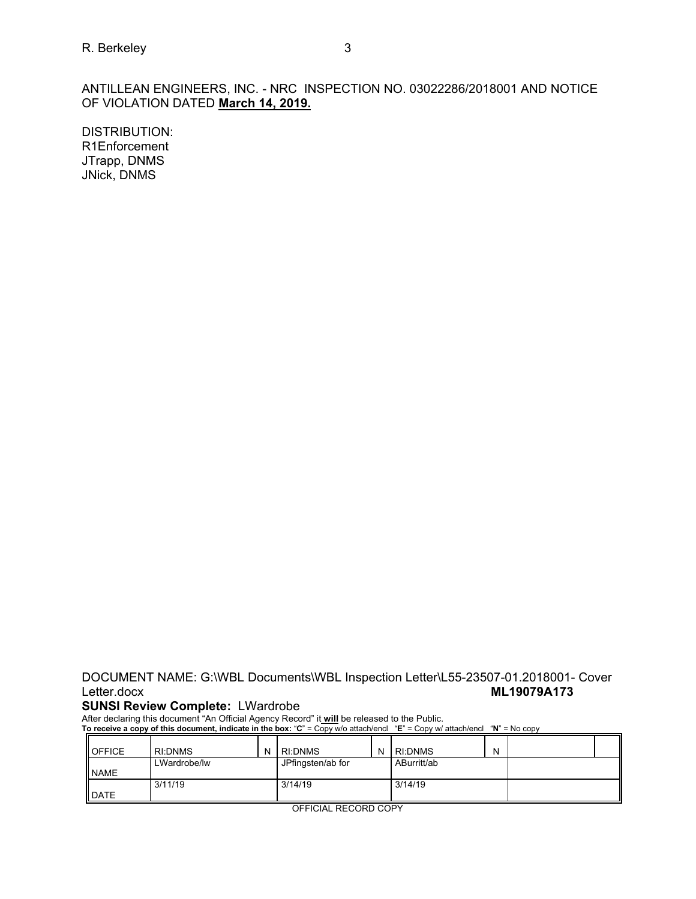ANTILLEAN ENGINEERS, INC. - NRC INSPECTION NO. 03022286/2018001 AND NOTICE OF VIOLATION DATED **March 14, 2019.** 

DISTRIBUTION: R1Enforcement JTrapp, DNMS JNick, DNMS

# DOCUMENT NAME: G:\WBL Documents\WBL Inspection Letter\L55-23507-01.2018001- Cover Letter.docx **ML19079A173**

### **SUNSI Review Complete:** LWardrobe

After declaring this document "An Official Agency Record" it **will** be released to the Public.

**To receive a copy of this document, indicate in the box:** "**C**" = Copy w/o attach/encl "**E**" = Copy w/ attach/encl "**N**" = No copy

| <b>I</b> OFFICE | <b>RI:DNMS</b> | <b>RI:DNMS</b>    | N | <b>RI:DNMS</b> | N |  |
|-----------------|----------------|-------------------|---|----------------|---|--|
|                 | LWardrobe/lw   | JPfingsten/ab for |   | ABurritt/ab    |   |  |
| <b>NAME</b>     |                |                   |   |                |   |  |
|                 | 3/11/19        | 3/14/19           |   | 3/14/19        |   |  |
| <b>DATE</b>     |                |                   |   |                |   |  |

OFFICIAL RECORD COPY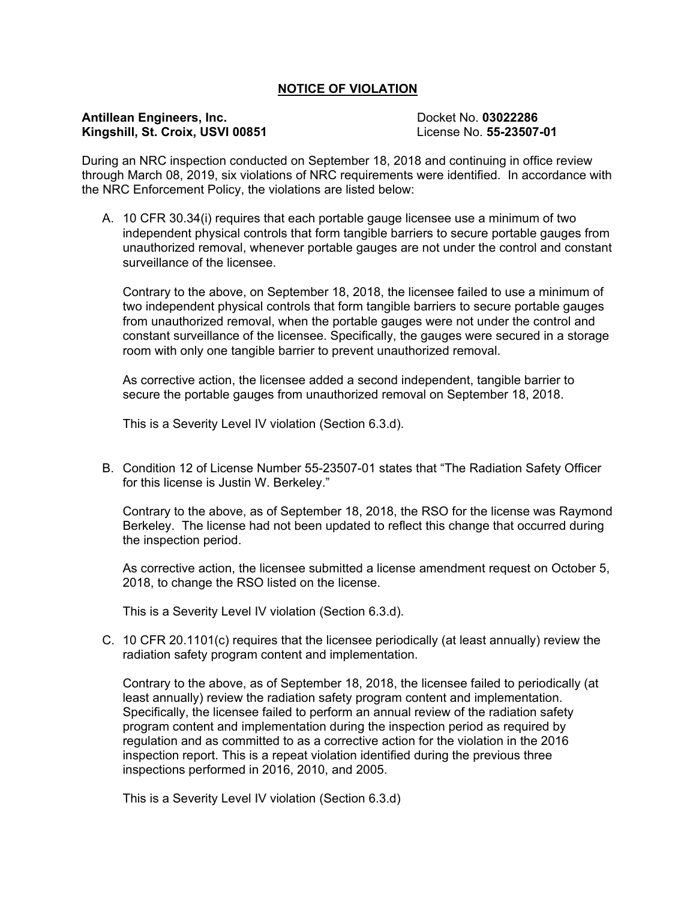## **NOTICE OF VIOLATION**

### **Antillean Engineers, Inc. Docket No. 03022286 Kingshill, St. Croix, USVI 00851** License No. **55-23507-01**

During an NRC inspection conducted on September 18, 2018 and continuing in office review through March 08, 2019, six violations of NRC requirements were identified. In accordance with the NRC Enforcement Policy, the violations are listed below:

A. 10 CFR 30.34(i) requires that each portable gauge licensee use a minimum of two independent physical controls that form tangible barriers to secure portable gauges from unauthorized removal, whenever portable gauges are not under the control and constant surveillance of the licensee.

Contrary to the above, on September 18, 2018, the licensee failed to use a minimum of two independent physical controls that form tangible barriers to secure portable gauges from unauthorized removal, when the portable gauges were not under the control and constant surveillance of the licensee. Specifically, the gauges were secured in a storage room with only one tangible barrier to prevent unauthorized removal.

As corrective action, the licensee added a second independent, tangible barrier to secure the portable gauges from unauthorized removal on September 18, 2018.

This is a Severity Level IV violation (Section 6.3.d).

B. Condition 12 of License Number 55-23507-01 states that "The Radiation Safety Officer for this license is Justin W. Berkeley."

Contrary to the above, as of September 18, 2018, the RSO for the license was Raymond Berkeley. The license had not been updated to reflect this change that occurred during the inspection period.

As corrective action, the licensee submitted a license amendment request on October 5, 2018, to change the RSO listed on the license.

This is a Severity Level IV violation (Section 6.3.d).

C. 10 CFR 20.1101(c) requires that the licensee periodically (at least annually) review the radiation safety program content and implementation.

Contrary to the above, as of September 18, 2018, the licensee failed to periodically (at least annually) review the radiation safety program content and implementation. Specifically, the licensee failed to perform an annual review of the radiation safety program content and implementation during the inspection period as required by regulation and as committed to as a corrective action for the violation in the 2016 inspection report. This is a repeat violation identified during the previous three inspections performed in 2016, 2010, and 2005.

This is a Severity Level IV violation (Section 6.3.d)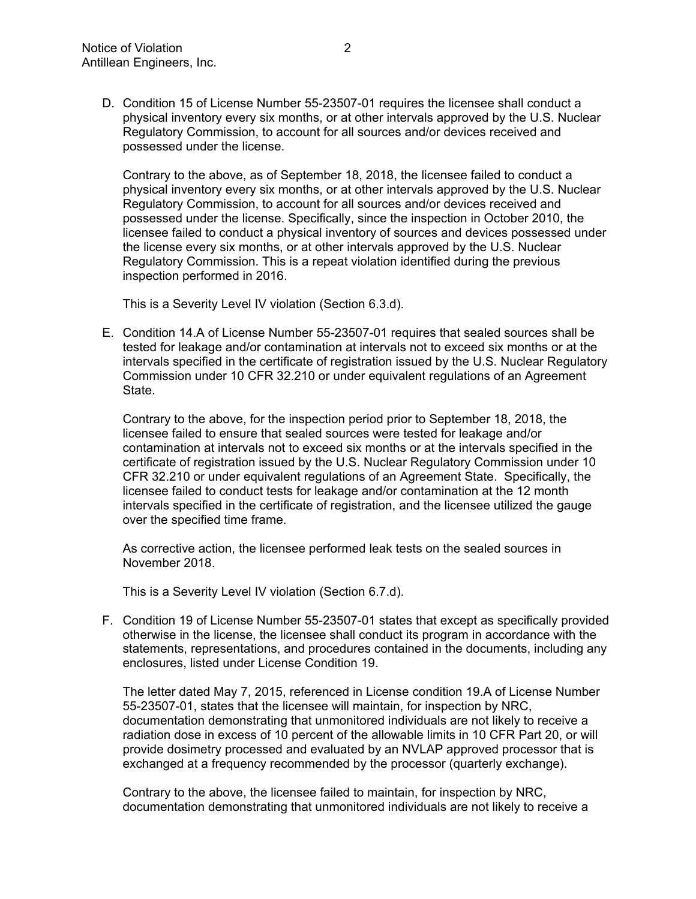D. Condition 15 of License Number 55-23507-01 requires the licensee shall conduct a physical inventory every six months, or at other intervals approved by the U.S. Nuclear Regulatory Commission, to account for all sources and/or devices received and possessed under the license.

Contrary to the above, as of September 18, 2018, the licensee failed to conduct a physical inventory every six months, or at other intervals approved by the U.S. Nuclear Regulatory Commission, to account for all sources and/or devices received and possessed under the license. Specifically, since the inspection in October 2010, the licensee failed to conduct a physical inventory of sources and devices possessed under the license every six months, or at other intervals approved by the U.S. Nuclear Regulatory Commission. This is a repeat violation identified during the previous inspection performed in 2016.

This is a Severity Level IV violation (Section 6.3.d).

E. Condition 14.A of License Number 55-23507-01 requires that sealed sources shall be tested for leakage and/or contamination at intervals not to exceed six months or at the intervals specified in the certificate of registration issued by the U.S. Nuclear Regulatory Commission under 10 CFR 32.210 or under equivalent regulations of an Agreement State.

Contrary to the above, for the inspection period prior to September 18, 2018, the licensee failed to ensure that sealed sources were tested for leakage and/or contamination at intervals not to exceed six months or at the intervals specified in the certificate of registration issued by the U.S. Nuclear Regulatory Commission under 10 CFR 32.210 or under equivalent regulations of an Agreement State. Specifically, the licensee failed to conduct tests for leakage and/or contamination at the 12 month intervals specified in the certificate of registration, and the licensee utilized the gauge over the specified time frame.

As corrective action, the licensee performed leak tests on the sealed sources in November 2018.

This is a Severity Level IV violation (Section 6.7.d).

F. Condition 19 of License Number 55-23507-01 states that except as specifically provided otherwise in the license, the licensee shall conduct its program in accordance with the statements, representations, and procedures contained in the documents, including any enclosures, listed under License Condition 19.

The letter dated May 7, 2015, referenced in License condition 19.A of License Number 55-23507-01, states that the licensee will maintain, for inspection by NRC, documentation demonstrating that unmonitored individuals are not likely to receive a radiation dose in excess of 10 percent of the allowable limits in 10 CFR Part 20, or will provide dosimetry processed and evaluated by an NVLAP approved processor that is exchanged at a frequency recommended by the processor (quarterly exchange).

Contrary to the above, the licensee failed to maintain, for inspection by NRC, documentation demonstrating that unmonitored individuals are not likely to receive a